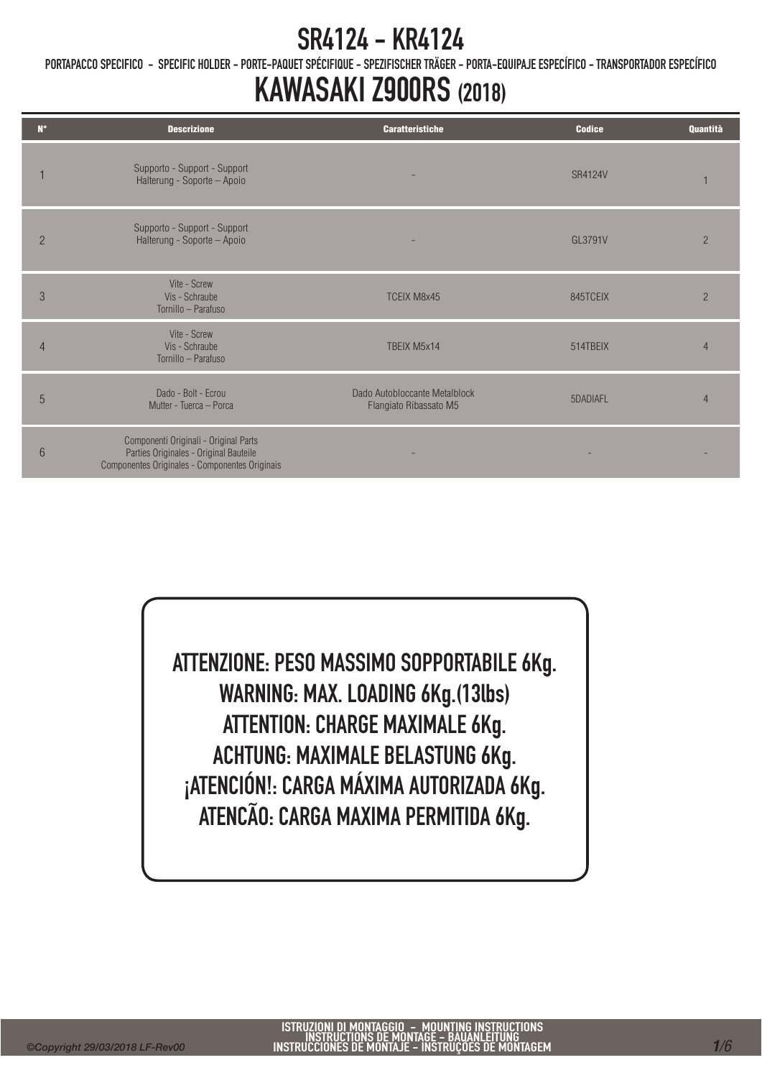PORTAPACCO SPECIFICO - SPECIFIC HOLDER - PORTE-PAQUET SPÉCIFIQUE - SPEZIFISCHER TRÄGER - PORTA-EQUIPAJE ESPECÍFICO - TRANSPORTADOR ESPECÍFICO

## KAWASAKI Z900RS (2018)

| $N^{\circ}$    | <b>Descrizione</b>                                                                                                                | <b>Caratteristiche</b>                                  | <b>Codice</b>  | Quantità       |
|----------------|-----------------------------------------------------------------------------------------------------------------------------------|---------------------------------------------------------|----------------|----------------|
|                | Supporto - Support - Support<br>Halterung - Soporte - Apoio                                                                       |                                                         | <b>SR4124V</b> |                |
| $\overline{2}$ | Supporto - Support - Support<br>Halterung - Soporte - Apoio                                                                       |                                                         | GL3791V        | $\overline{2}$ |
| 3              | Vite - Screw<br>Vis - Schraube<br>Tornillo - Parafuso                                                                             | <b>TCEIX M8x45</b>                                      | 845TCEIX       | $\overline{2}$ |
| 4              | Vite - Screw<br>Vis - Schraube<br>Tornillo - Parafuso                                                                             | TBEIX M5x14                                             | 514TBEIX       | $\Delta$       |
| 5              | Dado - Bolt - Ecrou<br>Mutter - Tuerca - Porca                                                                                    | Dado Autobloccante Metalblock<br>Flangiato Ribassato M5 | 5DADIAFL       |                |
| 6              | Componenti Originali - Original Parts<br>Parties Originales - Original Bauteile<br>Componentes Originales - Componentes Originais |                                                         |                |                |

ATTENZIONE: PESO MASSIMO SOPPORTABILE 6Kg. WARNING: MAX. LOADING 6Kg.(13lbs) ATTENTION: CHARGE MAXIMALE 6Kg. ACHTUNG: MAXIMALE BELASTUNG 6Kg. ¡ATENCIÓN!: CARGA MÁXIMA AUTORIZADA 6Kg. ATENCÃO: CARGA MAXIMA PERMITIDA 6Kg.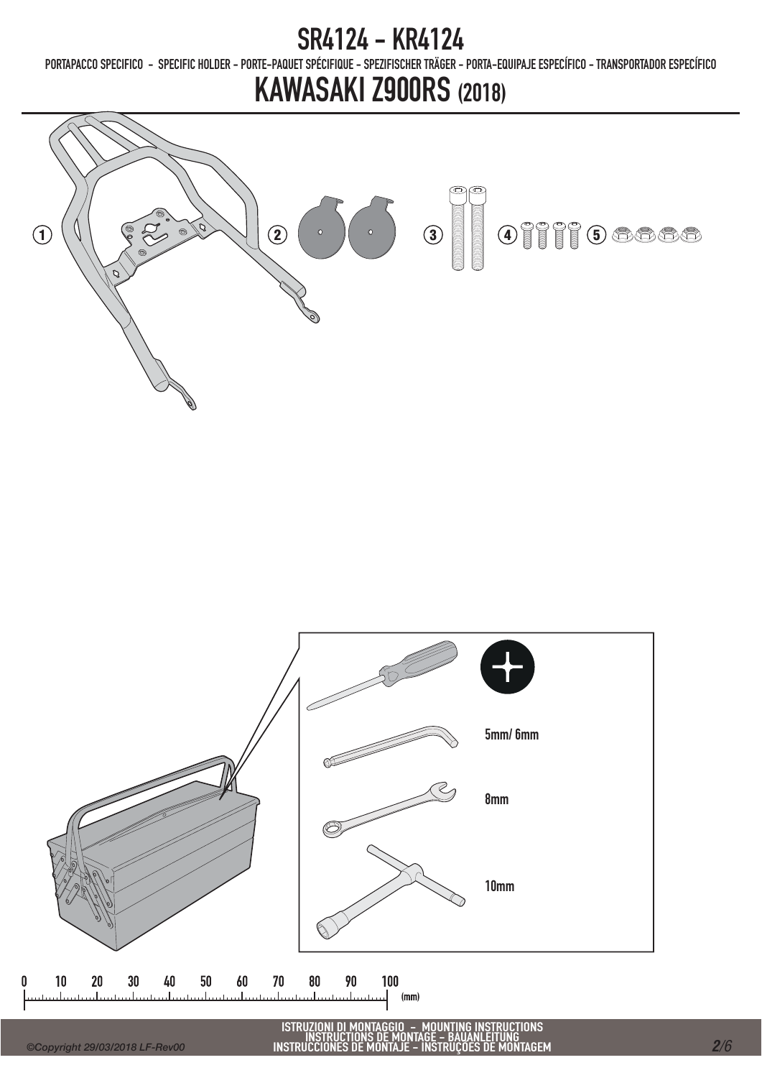PORTAPACCO SPECIFICO - SPECIFIC HOLDER - PORTE-PAQUET SPÉCIFIQUE - SPEZIFISCHER TRÄGER - PORTA-EQUIPAJE ESPECÍFICO - TRANSPORTADOR ESPECÍFICO

# KAWASAKI Z900RS (2018)





ISTRUZIONI DI MONTAGGIO – MOUNTING INSTRUCTIONS<br>INSTRUCTIONS DE MONTAGE – BAUANLEITUNG<br>INSTRUCCIONES DE MONTAJE – INSTRUÇÕES DE MONTAGEM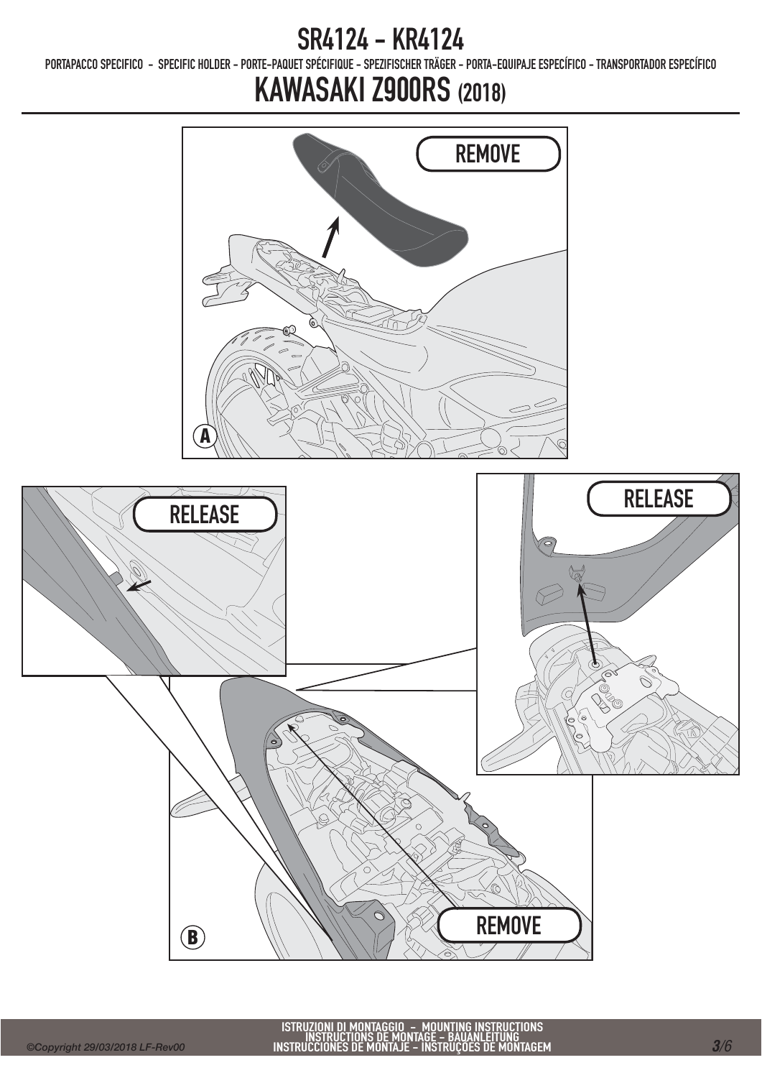PORTAPACCO SPECIFICO - SPECIFIC HOLDER - PORTE-PAQUET SPÉCIFIQUE - SPEZIFISCHER TRÄGER - PORTA-EQUIPAJE ESPECÍFICO - TRANSPORTADOR ESPECÍFICO

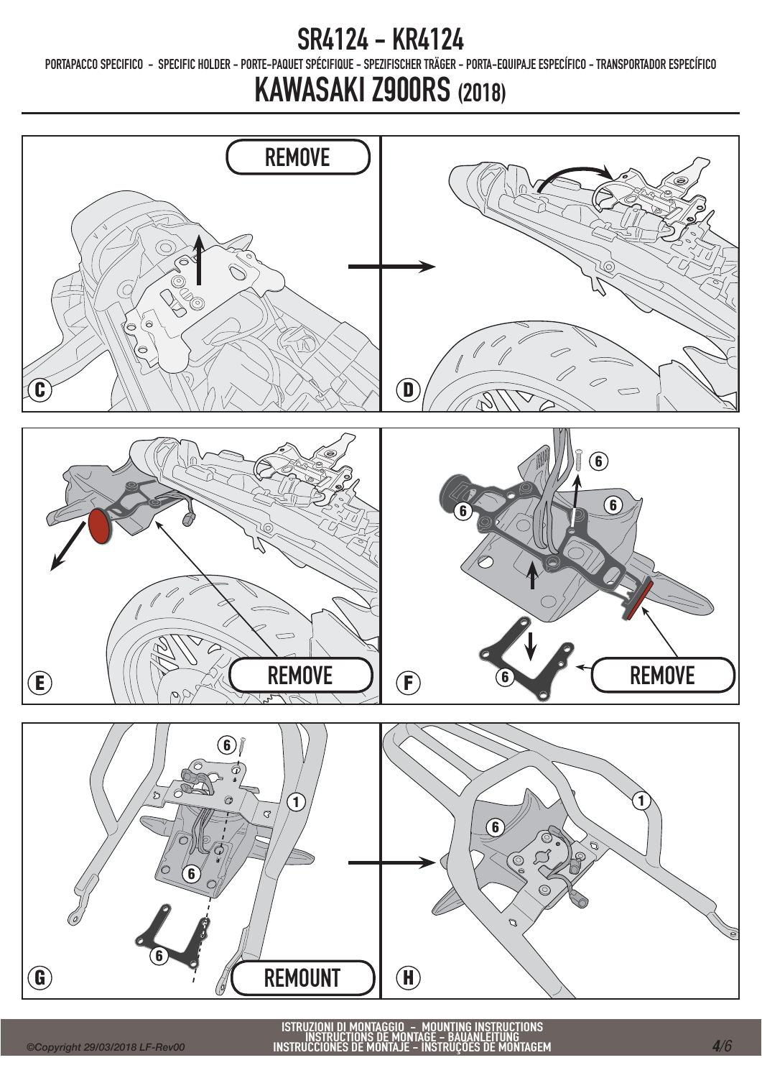PORTAPACCO SPECIFICO - SPECIFIC HOLDER - PORTE-PAQUET SPÉCIFIQUE - SPEZIFISCHER TRÄGER - PORTA-EQUIPAJE ESPECÍFICO - TRANSPORTADOR ESPECÍFICO

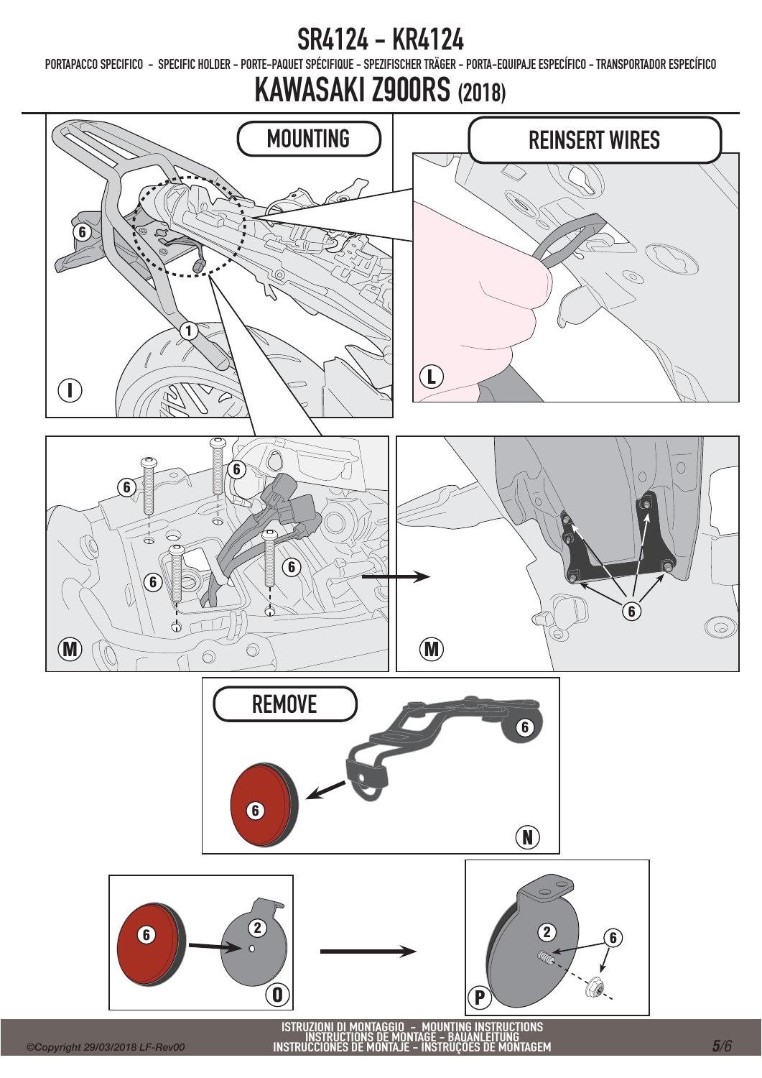PORTAPACCO SPECIFICO - SPECIFIC HOLDER - PORTE-PAQUET SPÉCIFIQUE - SPEZIFISCHER TRÄGER - PORTA-EQUIPAJE ESPECÍFICO - TRANSPORTADOR ESPECÍFICO